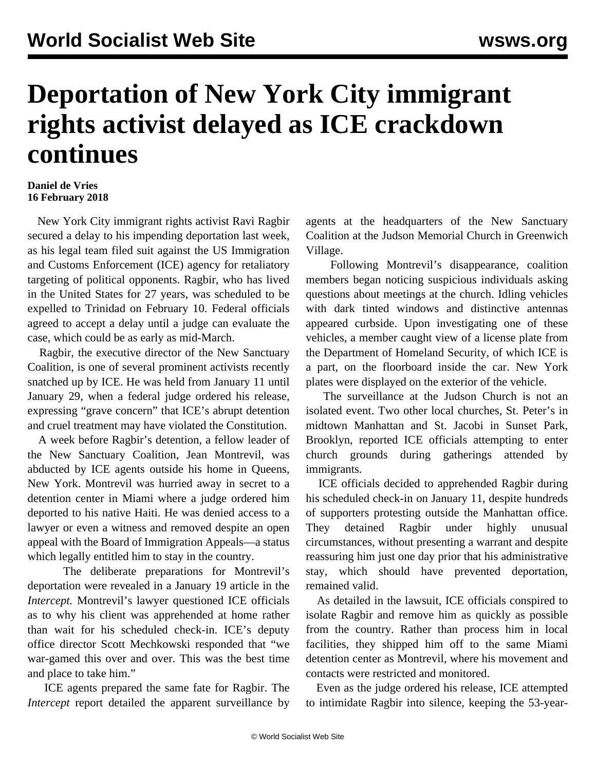## **Deportation of New York City immigrant rights activist delayed as ICE crackdown continues**

## **Daniel de Vries 16 February 2018**

 New York City immigrant rights activist Ravi Ragbir secured a delay to his impending deportation last week, as his legal team filed suit against the US Immigration and Customs Enforcement (ICE) agency for retaliatory targeting of political opponents. Ragbir, who has lived in the United States for 27 years, was scheduled to be expelled to Trinidad on February 10. Federal officials agreed to accept a delay until a judge can evaluate the case, which could be as early as mid-March.

 Ragbir, the executive director of the New Sanctuary Coalition, is one of several prominent activists recently snatched up by ICE. He was held from January 11 until January 29, when a federal judge ordered his release, expressing "grave concern" that ICE's abrupt detention and cruel treatment may have violated the Constitution.

 A week before Ragbir's detention, a fellow leader of the New Sanctuary Coalition, Jean Montrevil, was abducted by ICE agents outside his home in Queens, New York. Montrevil was hurried away in secret to a detention center in Miami where a judge ordered him deported to his native Haiti. He was denied access to a lawyer or even a witness and removed despite an open appeal with the Board of Immigration Appeals—a status which legally entitled him to stay in the country.

 The deliberate preparations for Montrevil's deportation were revealed in a January 19 article in the *Intercept.* Montrevil's lawyer questioned ICE officials as to why his client was apprehended at home rather than wait for his scheduled check-in. ICE's deputy office director Scott Mechkowski responded that "we war-gamed this over and over. This was the best time and place to take him."

 ICE agents prepared the same fate for Ragbir. The *Intercept* report detailed the apparent surveillance by agents at the headquarters of the New Sanctuary Coalition at the Judson Memorial Church in Greenwich Village.

 Following Montrevil's disappearance, coalition members began noticing suspicious individuals asking questions about meetings at the church. Idling vehicles with dark tinted windows and distinctive antennas appeared curbside. Upon investigating one of these vehicles, a member caught view of a license plate from the Department of Homeland Security, of which ICE is a part, on the floorboard inside the car. New York plates were displayed on the exterior of the vehicle.

 The surveillance at the Judson Church is not an isolated event. Two other local churches, St. Peter's in midtown Manhattan and St. Jacobi in Sunset Park, Brooklyn, reported ICE officials attempting to enter church grounds during gatherings attended by immigrants.

 ICE officials decided to apprehended Ragbir during his scheduled check-in on January 11, despite hundreds of supporters protesting outside the Manhattan office. They detained Ragbir under highly unusual circumstances, without presenting a warrant and despite reassuring him just one day prior that his administrative stay, which should have prevented deportation, remained valid.

 As detailed in the lawsuit, ICE officials conspired to isolate Ragbir and remove him as quickly as possible from the country. Rather than process him in local facilities, they shipped him off to the same Miami detention center as Montrevil, where his movement and contacts were restricted and monitored.

 Even as the judge ordered his release, ICE attempted to intimidate Ragbir into silence, keeping the 53-year